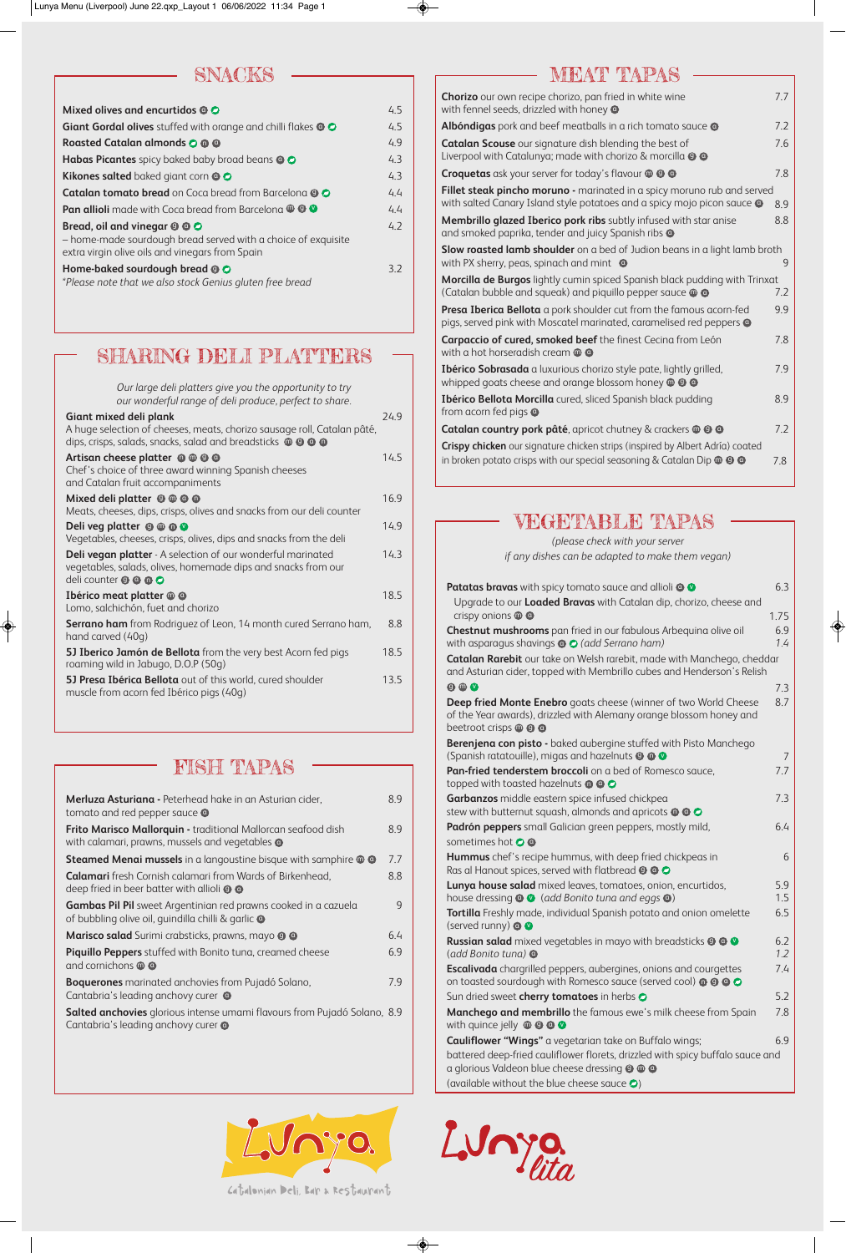### SNACKS

۱

| Mixed olives and encurtidos $\mathbf{\odot}$                                                                                                                                              | 4.5 |
|-------------------------------------------------------------------------------------------------------------------------------------------------------------------------------------------|-----|
| Giant Gordal olives stuffed with orange and chilli flakes <sup>o</sup>                                                                                                                    | 4.5 |
| Roasted Catalan almonds 0 0 0                                                                                                                                                             | 4.9 |
| Habas Picantes spicy baked baby broad beans <sup>o</sup>                                                                                                                                  | 4.3 |
| Kikones salted baked giant corn @ O                                                                                                                                                       | 4.3 |
| Catalan tomato bread on Coca bread from Barcelona <sup>o</sup>                                                                                                                            | 4.4 |
| <b>Pan allioli</b> made with Coca bread from Barcelona $\mathbf{\Phi} \otimes \mathbf{\Phi}$                                                                                              | 4.4 |
| Bread, oil and vinegar $\mathbf{\odot} \mathbf{\odot} \mathbf{\odot}$<br>- home-made sourdough bread served with a choice of exquisite<br>extra virgin olive oils and vinegars from Spain | 4.2 |
| Home-baked sourdough bread <sup>o</sup><br>*Please note that we also stock Genius gluten free bread                                                                                       | 3.2 |
|                                                                                                                                                                                           |     |

# FISH TAPAS

**Salted anchovies** glorious intense umami flavours from Pujadó Solano, 8.9 Cantabria's leading anchovy curer C

Sun dried sweet **cherry tomatoes** in herbs  $\bullet$  5.2 **Manchego and membrillo** the famous ewe's milk cheese from Spain 7.8 with quince jelly  $\mathbf{\circ} \mathbf{\circ} \mathbf{\circ} \mathbf{\circ}$ **Cauliflower "Wings"** a vegetarian take on Buffalo wings; 6.9 battered deep-fried cauliflower florets, drizzled with spicy buffalo sauce and a glorious Valdeon blue cheese dressing  $\bm{\mathsf{\Theta}}$   $\bm{\mathsf{\Theta}}$   $\bm{\mathsf{\Theta}}$ (available without the blue cheese sauce  $\odot$ )



| Merluza Asturiana - Peterhead hake in an Asturian cider,<br>tomato and red pepper sauce @                                     |     |  |  |
|-------------------------------------------------------------------------------------------------------------------------------|-----|--|--|
| Frito Marisco Mallorquin - traditional Mallorcan seafood dish<br>with calamari, prawns, mussels and vegetables @              |     |  |  |
| Steamed Menai mussels in a langoustine bisque with samphire $\omega$ $\omega$                                                 | 7.7 |  |  |
| <b>Calamari</b> fresh Cornish calamari from Wards of Birkenhead,<br>deep fried in beer batter with allioli <sup>O</sup> O     | 8.8 |  |  |
| Gambas Pil Pil sweet Argentinian red prawns cooked in a cazuela<br>of bubbling olive oil, quindilla chilli & garlic $\bullet$ | 9   |  |  |
| <b>Marisco salad</b> Surimi crabsticks, prawns, mayo <b>@</b>                                                                 | 6.4 |  |  |
| Piquillo Peppers stuffed with Bonito tuna, creamed cheese<br>and cornichons $\mathbf{\omega}$ $\mathbf{\omega}$               | 6.9 |  |  |
| <b>Boquerones</b> marinated anchovies from Pujadó Solano,                                                                     | 7.9 |  |  |

## VEGETABLE TAPAS

## MEAT TAPAS

## SHARING DELI PLATTERS

*Our large deli platters give you the opportunity to try our wonderful range of deli produce, perfect to share.*

| Giant mixed deli plank<br>A huge selection of cheeses, meats, chorizo sausage roll, Catalan pâté,<br>dips, crisps, salads, snacks, salad and breadsticks $\bullet$ $\bullet$ $\bullet$ | 24.9 |
|----------------------------------------------------------------------------------------------------------------------------------------------------------------------------------------|------|
| Artisan cheese platter 0000<br>Chef's choice of three award winning Spanish cheeses<br>and Catalan fruit accompaniments                                                                | 14.5 |
| Mixed deli platter © © © ©<br>Meats, cheeses, dips, crisps, olives and snacks from our deli counter                                                                                    | 16.9 |
| Deli veg platter © © O O<br>Vegetables, cheeses, crisps, olives, dips and snacks from the deli                                                                                         | 14.9 |
| Deli vegan platter - A selection of our wonderful marinated<br>vegetables, salads, olives, homemade dips and snacks from our<br>deli counter <b>9 0 0 0</b>                            | 14.3 |
| Ibérico meat platter @ @<br>Lomo, salchichón, fuet and chorizo                                                                                                                         | 18.5 |
| <b>Serrano ham</b> from Rodriquez of Leon, 14 month cured Serrano ham,<br>hand carved (40q)                                                                                            | 8.8  |
| <b>5J Iberico Jamón de Bellota</b> from the very best Acorn fed pigs<br>roaming wild in Jabugo, D.O.P (50g)                                                                            | 18.5 |
| 5J Presa Ibérica Bellota out of this world, cured shoulder<br>muscle from acorn fed Ibérico pigs (40g)                                                                                 | 13.5 |

| Chorizo our own recipe chorizo, pan fried in white wine<br>with fennel seeds, drizzled with honey @                                                                       | 7.7 |
|---------------------------------------------------------------------------------------------------------------------------------------------------------------------------|-----|
| Albóndigas pork and beef meatballs in a rich tomato sauce @                                                                                                               | 7.2 |
| <b>Catalan Scouse</b> our signature dish blending the best of<br>Liverpool with Catalunya; made with chorizo & morcilla $\odot$ $\odot$                                   | 7.6 |
| Croquetas ask your server for today's flavour @ @ @                                                                                                                       | 7.8 |
| Fillet steak pincho moruno - marinated in a spicy moruno rub and served<br>with salted Canary Island style potatoes and a spicy mojo picon sauce <sup>o</sup>             | 8.9 |
| Membrillo glazed Iberico pork ribs subtly infused with star anise<br>and smoked paprika, tender and juicy Spanish ribs @                                                  | 8.8 |
| Slow roasted lamb shoulder on a bed of Judion beans in a light lamb broth<br>with PX sherry, peas, spinach and mint $\bullet$                                             | 9   |
| Morcilla de Burgos lightly cumin spiced Spanish black pudding with Trinxat<br>(Catalan bubble and squeak) and piquillo pepper sauce $\bullet$ $\bullet$                   | 7.2 |
| Presa Iberica Bellota a pork shoulder cut from the famous acorn-fed<br>pigs, served pink with Moscatel marinated, caramelised red peppers @                               | 9.9 |
| Carpaccio of cured, smoked beef the finest Cecina from León<br>with a hot horseradish cream $\boldsymbol{\omega}$ $\boldsymbol{\omega}$                                   | 7.8 |
| Ibérico Sobrasada a luxurious chorizo style pate, lightly grilled,<br>whipped goats cheese and orange blossom honey $\bullet$ $\bullet$                                   | 7.9 |
| Ibérico Bellota Morcilla cured, sliced Spanish black pudding<br>from acorn fed pigs $\bullet$                                                                             | 8.9 |
| Catalan country pork pâté, apricot chutney & crackers @ @ @                                                                                                               | 7.2 |
| Crispy chicken our signature chicken strips (inspired by Albert Adría) coated<br>in broken potato crisps with our special seasoning & Catalan Dip $\oplus \oplus \bullet$ | 7.8 |

*(please check with your server if any dishes can be adapted to make them vegan)*

 $\Rightarrow$ 

| Patatas bravas with spicy tomato sauce and allioli <b>OO</b>                                                                                                     | 6.3        |
|------------------------------------------------------------------------------------------------------------------------------------------------------------------|------------|
| Upgrade to our Loaded Bravas with Catalan dip, chorizo, cheese and                                                                                               |            |
| crispy onions @ @                                                                                                                                                | 1.75       |
| Chestnut mushrooms pan fried in our fabulous Arbequina olive oil                                                                                                 | 6.9        |
| with asparagus shavings @ O (add Serrano ham)                                                                                                                    | 14         |
| Catalan Rarebit our take on Welsh rarebit, made with Manchego, cheddar<br>and Asturian cider, topped with Membrillo cubes and Henderson's Relish                 |            |
| 0 0 0                                                                                                                                                            | 7.3        |
| Deep fried Monte Enebro goats cheese (winner of two World Cheese<br>of the Year awards), drizzled with Alemany orange blossom honey and<br>beetroot crisps @ @ @ | 8.7        |
| Berenjena con pisto - baked aubergine stuffed with Pisto Manchego                                                                                                |            |
| (Spanish ratatouille), migas and hazelnuts <sup>o</sup> o <b>O</b>                                                                                               | 7          |
| Pan-fried tenderstem broccoli on a bed of Romesco sauce,<br>topped with toasted hazelnuts $\bullet \bullet \bullet$                                              | 7.7        |
| Garbanzos middle eastern spice infused chickpea                                                                                                                  | 7.3        |
| stew with butternut squash, almonds and apricots $\bullet \bullet \bullet$                                                                                       |            |
| Padrón peppers small Galician green peppers, mostly mild,<br>sometimes hot $\bullet$ $\bullet$                                                                   | 6.4        |
| Hummus chef's recipe hummus, with deep fried chickpeas in<br>Ras al Hanout spices, served with flatbread <sup>o o</sup>                                          | 6          |
| Lunya house salad mixed leaves, tomatoes, onion, encurtidos,<br>house dressing $\bullet \bullet$ (add Bonito tuna and eggs $\bullet$ )                           | 5.9<br>1.5 |
| Tortilla Freshly made, individual Spanish potato and onion omelette<br>(served runny) <b>OO</b>                                                                  | 6.5        |
| Russian salad mixed vegetables in mayo with breadsticks <sup>o o</sup><br>(add Bonito tuna) @                                                                    | 6.2<br>1.2 |
| <b>Escalivada</b> chargrilled peppers, aubergines, onions and courgettes<br>on toasted sourdough with Romesco sauce (served cool) $\bullet$ $\bullet$ $\bullet$  | 7.4        |

Cantabria's leading anchovy curer **a** 

 $\bigcirc$ 

Catalonian Deli, Bar & Restaurant



 $\bigcirc$